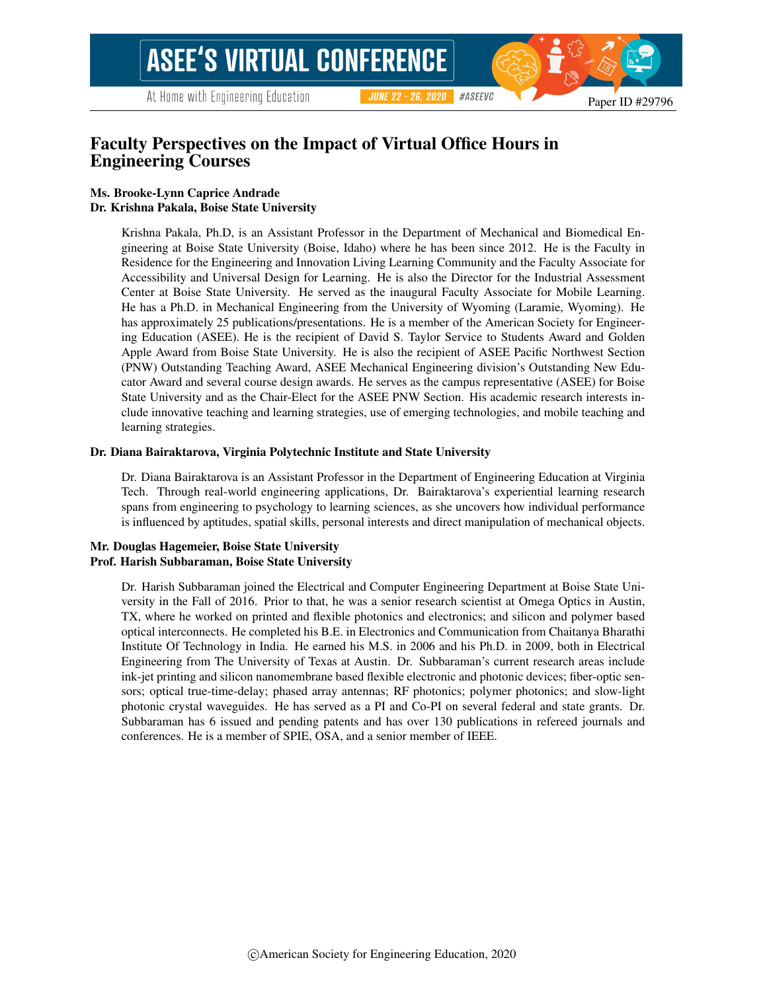Paper ID #29796

#ASEEVC

**JUNE 22 - 26, 2020** 

# Faculty Perspectives on the Impact of Virtual Office Hours in Engineering Courses

#### Ms. Brooke-Lynn Caprice Andrade Dr. Krishna Pakala, Boise State University

Krishna Pakala, Ph.D, is an Assistant Professor in the Department of Mechanical and Biomedical Engineering at Boise State University (Boise, Idaho) where he has been since 2012. He is the Faculty in Residence for the Engineering and Innovation Living Learning Community and the Faculty Associate for Accessibility and Universal Design for Learning. He is also the Director for the Industrial Assessment Center at Boise State University. He served as the inaugural Faculty Associate for Mobile Learning. He has a Ph.D. in Mechanical Engineering from the University of Wyoming (Laramie, Wyoming). He has approximately 25 publications/presentations. He is a member of the American Society for Engineering Education (ASEE). He is the recipient of David S. Taylor Service to Students Award and Golden Apple Award from Boise State University. He is also the recipient of ASEE Pacific Northwest Section (PNW) Outstanding Teaching Award, ASEE Mechanical Engineering division's Outstanding New Educator Award and several course design awards. He serves as the campus representative (ASEE) for Boise State University and as the Chair-Elect for the ASEE PNW Section. His academic research interests include innovative teaching and learning strategies, use of emerging technologies, and mobile teaching and learning strategies.

#### Dr. Diana Bairaktarova, Virginia Polytechnic Institute and State University

Dr. Diana Bairaktarova is an Assistant Professor in the Department of Engineering Education at Virginia Tech. Through real-world engineering applications, Dr. Bairaktarova's experiential learning research spans from engineering to psychology to learning sciences, as she uncovers how individual performance is influenced by aptitudes, spatial skills, personal interests and direct manipulation of mechanical objects.

#### Mr. Douglas Hagemeier, Boise State University Prof. Harish Subbaraman, Boise State University

Dr. Harish Subbaraman joined the Electrical and Computer Engineering Department at Boise State University in the Fall of 2016. Prior to that, he was a senior research scientist at Omega Optics in Austin, TX, where he worked on printed and flexible photonics and electronics; and silicon and polymer based optical interconnects. He completed his B.E. in Electronics and Communication from Chaitanya Bharathi Institute Of Technology in India. He earned his M.S. in 2006 and his Ph.D. in 2009, both in Electrical Engineering from The University of Texas at Austin. Dr. Subbaraman's current research areas include ink-jet printing and silicon nanomembrane based flexible electronic and photonic devices; fiber-optic sensors; optical true-time-delay; phased array antennas; RF photonics; polymer photonics; and slow-light photonic crystal waveguides. He has served as a PI and Co-PI on several federal and state grants. Dr. Subbaraman has 6 issued and pending patents and has over 130 publications in refereed journals and conferences. He is a member of SPIE, OSA, and a senior member of IEEE.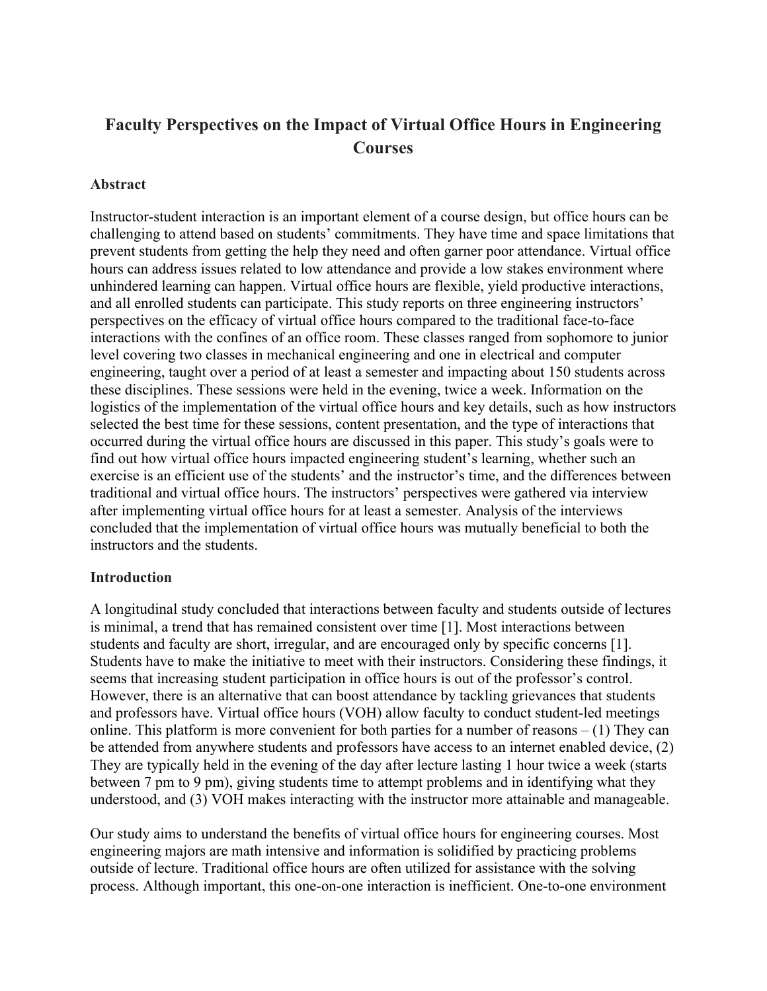# **Faculty Perspectives on the Impact of Virtual Office Hours in Engineering Courses**

#### **Abstract**

Instructor-student interaction is an important element of a course design, but office hours can be challenging to attend based on students' commitments. They have time and space limitations that prevent students from getting the help they need and often garner poor attendance. Virtual office hours can address issues related to low attendance and provide a low stakes environment where unhindered learning can happen. Virtual office hours are flexible, yield productive interactions, and all enrolled students can participate. This study reports on three engineering instructors' perspectives on the efficacy of virtual office hours compared to the traditional face-to-face interactions with the confines of an office room. These classes ranged from sophomore to junior level covering two classes in mechanical engineering and one in electrical and computer engineering, taught over a period of at least a semester and impacting about 150 students across these disciplines. These sessions were held in the evening, twice a week. Information on the logistics of the implementation of the virtual office hours and key details, such as how instructors selected the best time for these sessions, content presentation, and the type of interactions that occurred during the virtual office hours are discussed in this paper. This study's goals were to find out how virtual office hours impacted engineering student's learning, whether such an exercise is an efficient use of the students' and the instructor's time, and the differences between traditional and virtual office hours. The instructors' perspectives were gathered via interview after implementing virtual office hours for at least a semester. Analysis of the interviews concluded that the implementation of virtual office hours was mutually beneficial to both the instructors and the students.

#### **Introduction**

A longitudinal study concluded that interactions between faculty and students outside of lectures is minimal, a trend that has remained consistent over time [1]. Most interactions between students and faculty are short, irregular, and are encouraged only by specific concerns [1]. Students have to make the initiative to meet with their instructors. Considering these findings, it seems that increasing student participation in office hours is out of the professor's control. However, there is an alternative that can boost attendance by tackling grievances that students and professors have. Virtual office hours (VOH) allow faculty to conduct student-led meetings online. This platform is more convenient for both parties for a number of reasons  $- (1)$  They can be attended from anywhere students and professors have access to an internet enabled device, (2) They are typically held in the evening of the day after lecture lasting 1 hour twice a week (starts between 7 pm to 9 pm), giving students time to attempt problems and in identifying what they understood, and (3) VOH makes interacting with the instructor more attainable and manageable.

Our study aims to understand the benefits of virtual office hours for engineering courses. Most engineering majors are math intensive and information is solidified by practicing problems outside of lecture. Traditional office hours are often utilized for assistance with the solving process. Although important, this one-on-one interaction is inefficient. One-to-one environment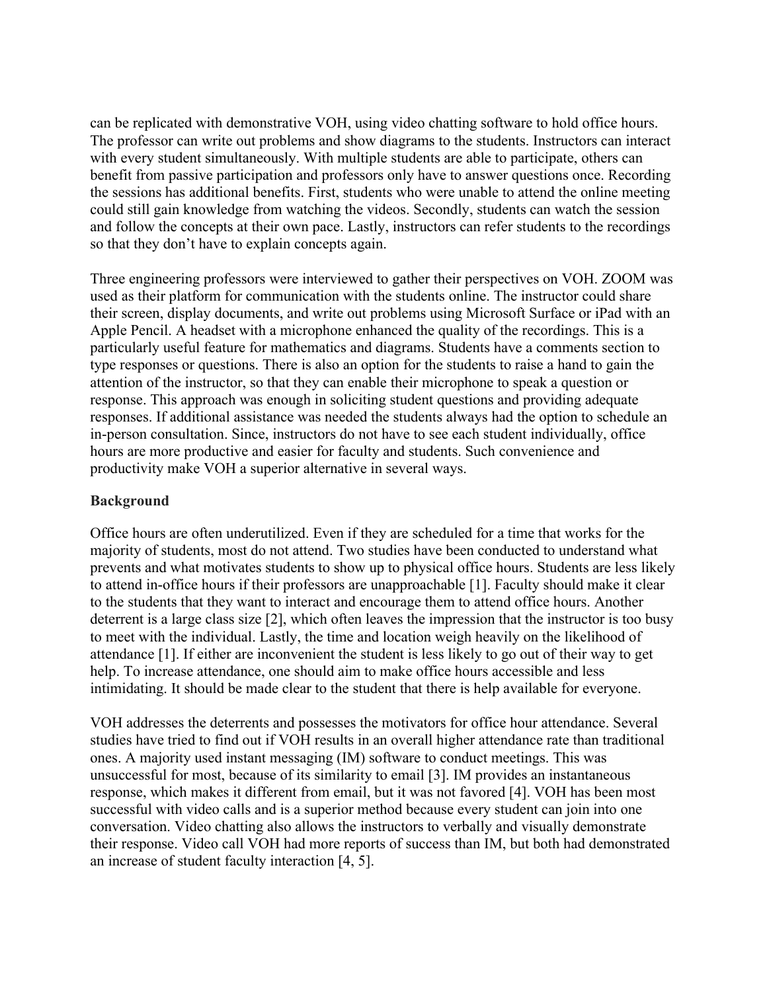can be replicated with demonstrative VOH, using video chatting software to hold office hours. The professor can write out problems and show diagrams to the students. Instructors can interact with every student simultaneously. With multiple students are able to participate, others can benefit from passive participation and professors only have to answer questions once. Recording the sessions has additional benefits. First, students who were unable to attend the online meeting could still gain knowledge from watching the videos. Secondly, students can watch the session and follow the concepts at their own pace. Lastly, instructors can refer students to the recordings so that they don't have to explain concepts again.

Three engineering professors were interviewed to gather their perspectives on VOH. ZOOM was used as their platform for communication with the students online. The instructor could share their screen, display documents, and write out problems using Microsoft Surface or iPad with an Apple Pencil. A headset with a microphone enhanced the quality of the recordings. This is a particularly useful feature for mathematics and diagrams. Students have a comments section to type responses or questions. There is also an option for the students to raise a hand to gain the attention of the instructor, so that they can enable their microphone to speak a question or response. This approach was enough in soliciting student questions and providing adequate responses. If additional assistance was needed the students always had the option to schedule an in-person consultation. Since, instructors do not have to see each student individually, office hours are more productive and easier for faculty and students. Such convenience and productivity make VOH a superior alternative in several ways.

## **Background**

Office hours are often underutilized. Even if they are scheduled for a time that works for the majority of students, most do not attend. Two studies have been conducted to understand what prevents and what motivates students to show up to physical office hours. Students are less likely to attend in-office hours if their professors are unapproachable [1]. Faculty should make it clear to the students that they want to interact and encourage them to attend office hours. Another deterrent is a large class size [2], which often leaves the impression that the instructor is too busy to meet with the individual. Lastly, the time and location weigh heavily on the likelihood of attendance [1]. If either are inconvenient the student is less likely to go out of their way to get help. To increase attendance, one should aim to make office hours accessible and less intimidating. It should be made clear to the student that there is help available for everyone.

VOH addresses the deterrents and possesses the motivators for office hour attendance. Several studies have tried to find out if VOH results in an overall higher attendance rate than traditional ones. A majority used instant messaging (IM) software to conduct meetings. This was unsuccessful for most, because of its similarity to email [3]. IM provides an instantaneous response, which makes it different from email, but it was not favored [4]. VOH has been most successful with video calls and is a superior method because every student can join into one conversation. Video chatting also allows the instructors to verbally and visually demonstrate their response. Video call VOH had more reports of success than IM, but both had demonstrated an increase of student faculty interaction [4, 5].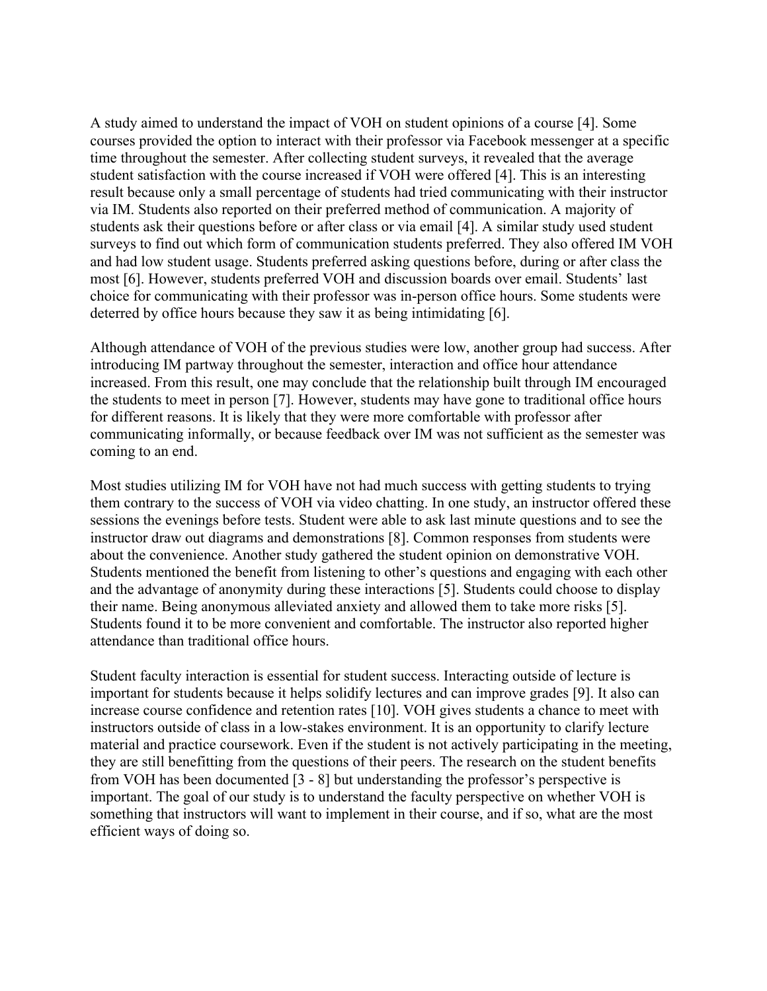A study aimed to understand the impact of VOH on student opinions of a course [4]. Some courses provided the option to interact with their professor via Facebook messenger at a specific time throughout the semester. After collecting student surveys, it revealed that the average student satisfaction with the course increased if VOH were offered [4]. This is an interesting result because only a small percentage of students had tried communicating with their instructor via IM. Students also reported on their preferred method of communication. A majority of students ask their questions before or after class or via email [4]. A similar study used student surveys to find out which form of communication students preferred. They also offered IM VOH and had low student usage. Students preferred asking questions before, during or after class the most [6]. However, students preferred VOH and discussion boards over email. Students' last choice for communicating with their professor was in-person office hours. Some students were deterred by office hours because they saw it as being intimidating [6].

Although attendance of VOH of the previous studies were low, another group had success. After introducing IM partway throughout the semester, interaction and office hour attendance increased. From this result, one may conclude that the relationship built through IM encouraged the students to meet in person [7]. However, students may have gone to traditional office hours for different reasons. It is likely that they were more comfortable with professor after communicating informally, or because feedback over IM was not sufficient as the semester was coming to an end.

Most studies utilizing IM for VOH have not had much success with getting students to trying them contrary to the success of VOH via video chatting. In one study, an instructor offered these sessions the evenings before tests. Student were able to ask last minute questions and to see the instructor draw out diagrams and demonstrations [8]. Common responses from students were about the convenience. Another study gathered the student opinion on demonstrative VOH. Students mentioned the benefit from listening to other's questions and engaging with each other and the advantage of anonymity during these interactions [5]. Students could choose to display their name. Being anonymous alleviated anxiety and allowed them to take more risks [5]. Students found it to be more convenient and comfortable. The instructor also reported higher attendance than traditional office hours.

Student faculty interaction is essential for student success. Interacting outside of lecture is important for students because it helps solidify lectures and can improve grades [9]. It also can increase course confidence and retention rates [10]. VOH gives students a chance to meet with instructors outside of class in a low-stakes environment. It is an opportunity to clarify lecture material and practice coursework. Even if the student is not actively participating in the meeting, they are still benefitting from the questions of their peers. The research on the student benefits from VOH has been documented [3 - 8] but understanding the professor's perspective is important. The goal of our study is to understand the faculty perspective on whether VOH is something that instructors will want to implement in their course, and if so, what are the most efficient ways of doing so.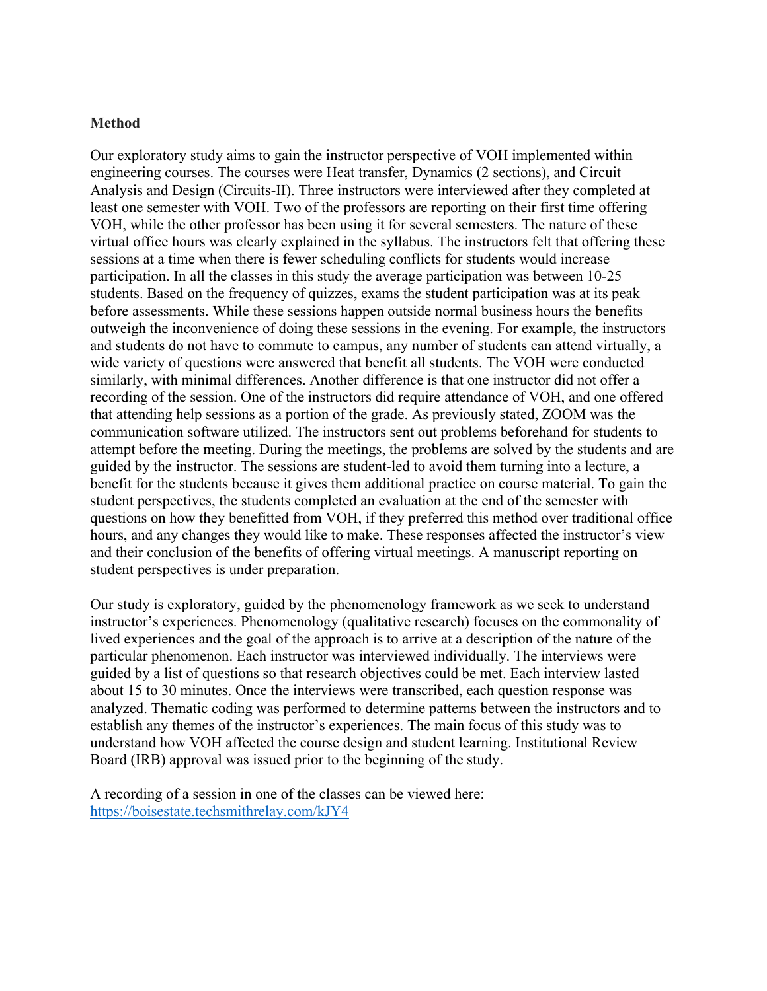#### **Method**

Our exploratory study aims to gain the instructor perspective of VOH implemented within engineering courses. The courses were Heat transfer, Dynamics (2 sections), and Circuit Analysis and Design (Circuits-II). Three instructors were interviewed after they completed at least one semester with VOH. Two of the professors are reporting on their first time offering VOH, while the other professor has been using it for several semesters. The nature of these virtual office hours was clearly explained in the syllabus. The instructors felt that offering these sessions at a time when there is fewer scheduling conflicts for students would increase participation. In all the classes in this study the average participation was between 10-25 students. Based on the frequency of quizzes, exams the student participation was at its peak before assessments. While these sessions happen outside normal business hours the benefits outweigh the inconvenience of doing these sessions in the evening. For example, the instructors and students do not have to commute to campus, any number of students can attend virtually, a wide variety of questions were answered that benefit all students. The VOH were conducted similarly, with minimal differences. Another difference is that one instructor did not offer a recording of the session. One of the instructors did require attendance of VOH, and one offered that attending help sessions as a portion of the grade. As previously stated, ZOOM was the communication software utilized. The instructors sent out problems beforehand for students to attempt before the meeting. During the meetings, the problems are solved by the students and are guided by the instructor. The sessions are student-led to avoid them turning into a lecture, a benefit for the students because it gives them additional practice on course material. To gain the student perspectives, the students completed an evaluation at the end of the semester with questions on how they benefitted from VOH, if they preferred this method over traditional office hours, and any changes they would like to make. These responses affected the instructor's view and their conclusion of the benefits of offering virtual meetings. A manuscript reporting on student perspectives is under preparation.

Our study is exploratory, guided by the phenomenology framework as we seek to understand instructor's experiences. Phenomenology (qualitative research) focuses on the commonality of lived experiences and the goal of the approach is to arrive at a description of the nature of the particular phenomenon. Each instructor was interviewed individually. The interviews were guided by a list of questions so that research objectives could be met. Each interview lasted about 15 to 30 minutes. Once the interviews were transcribed, each question response was analyzed. Thematic coding was performed to determine patterns between the instructors and to establish any themes of the instructor's experiences. The main focus of this study was to understand how VOH affected the course design and student learning. Institutional Review Board (IRB) approval was issued prior to the beginning of the study.

A recording of a session in one of the classes can be viewed here: <https://boisestate.techsmithrelay.com/kJY4>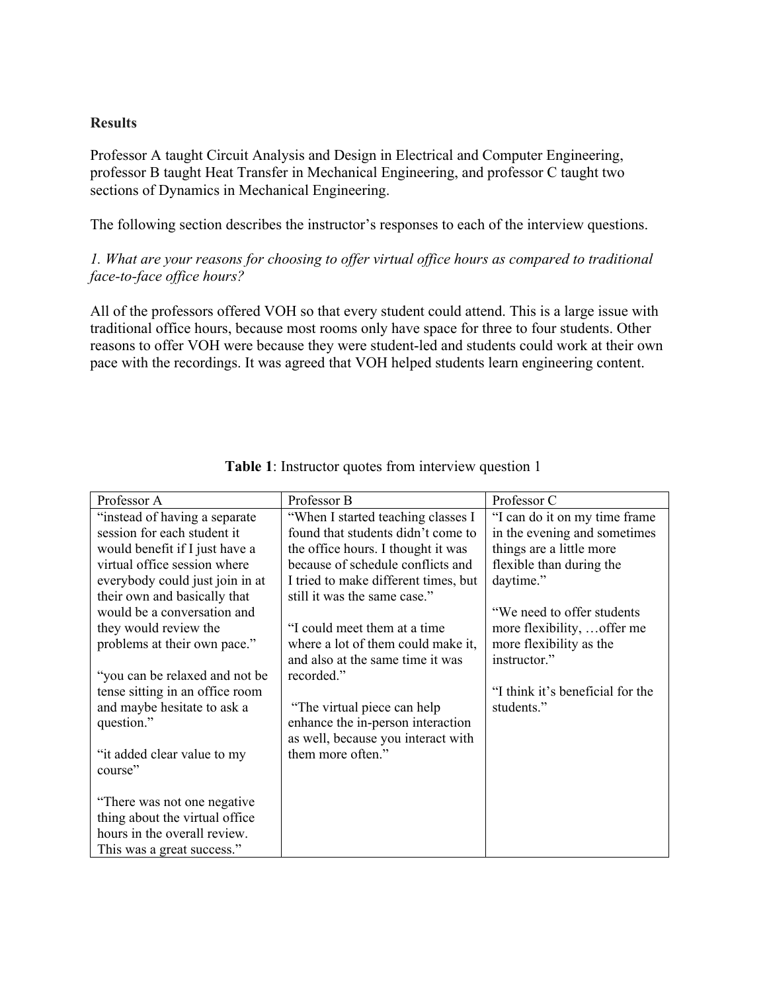## **Results**

Professor A taught Circuit Analysis and Design in Electrical and Computer Engineering, professor B taught Heat Transfer in Mechanical Engineering, and professor C taught two sections of Dynamics in Mechanical Engineering.

The following section describes the instructor's responses to each of the interview questions.

## *1. What are your reasons for choosing to offer virtual office hours as compared to traditional face-to-face office hours?*

All of the professors offered VOH so that every student could attend. This is a large issue with traditional office hours, because most rooms only have space for three to four students. Other reasons to offer VOH were because they were student-led and students could work at their own pace with the recordings. It was agreed that VOH helped students learn engineering content.

| Professor A                     | Professor B                          | Professor C                      |
|---------------------------------|--------------------------------------|----------------------------------|
| "instead of having a separate"  | "When I started teaching classes I   | "I can do it on my time frame    |
| session for each student it     | found that students didn't come to   | in the evening and sometimes     |
| would benefit if I just have a  | the office hours. I thought it was   | things are a little more         |
| virtual office session where    | because of schedule conflicts and    | flexible than during the         |
| everybody could just join in at | I tried to make different times, but | daytime."                        |
| their own and basically that    | still it was the same case."         |                                  |
| would be a conversation and     |                                      | "We need to offer students       |
| they would review the           | "I could meet them at a time         | more flexibility,  offer me      |
| problems at their own pace."    | where a lot of them could make it,   | more flexibility as the          |
|                                 | and also at the same time it was     | instructor."                     |
| "you can be relaxed and not be  | recorded."                           |                                  |
| tense sitting in an office room |                                      | "I think it's beneficial for the |
| and maybe hesitate to ask a     | "The virtual piece can help          | students."                       |
| question."                      | enhance the in-person interaction    |                                  |
|                                 | as well, because you interact with   |                                  |
| "it added clear value to my     | them more often."                    |                                  |
| course"                         |                                      |                                  |
|                                 |                                      |                                  |
| "There was not one negative"    |                                      |                                  |
| thing about the virtual office  |                                      |                                  |
| hours in the overall review.    |                                      |                                  |
| This was a great success."      |                                      |                                  |

## **Table 1**: Instructor quotes from interview question 1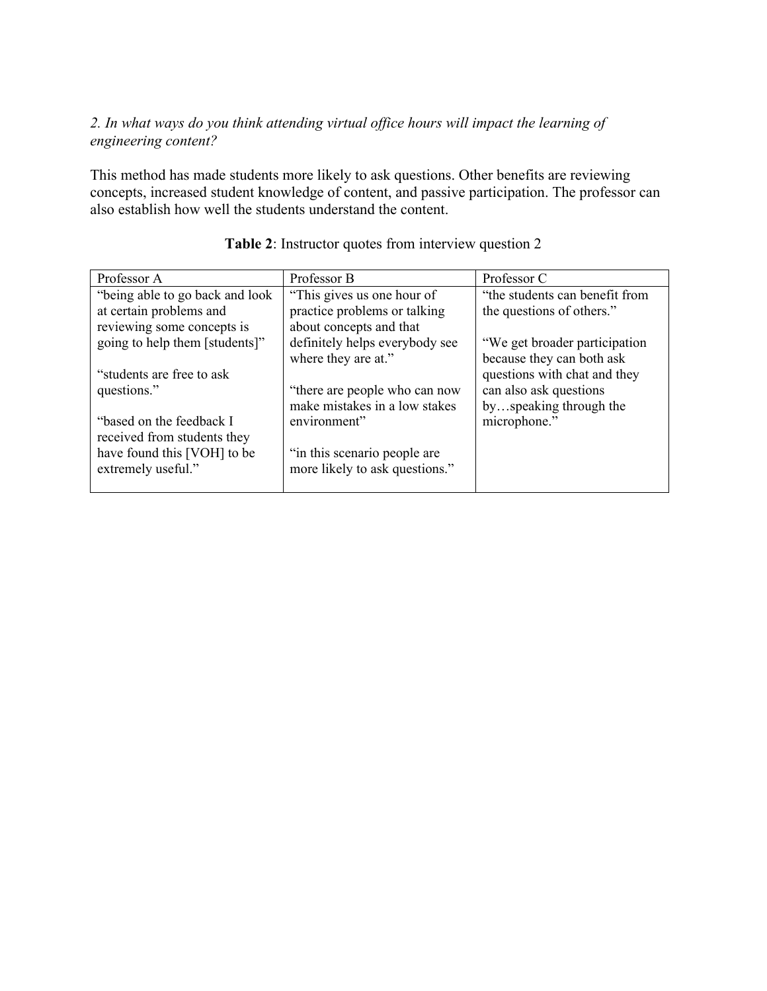## *2. In what ways do you think attending virtual office hours will impact the learning of engineering content?*

This method has made students more likely to ask questions. Other benefits are reviewing concepts, increased student knowledge of content, and passive participation. The professor can also establish how well the students understand the content.

| Professor A                      | Professor B                    | Professor C                    |
|----------------------------------|--------------------------------|--------------------------------|
| "being able to go back and look" | "This gives us one hour of     | "the students can benefit from |
| at certain problems and          | practice problems or talking   | the questions of others."      |
| reviewing some concepts is       | about concepts and that        |                                |
| going to help them [students]"   | definitely helps everybody see | "We get broader participation" |
|                                  | where they are at."            | because they can both ask      |
| "students are free to ask"       |                                | questions with chat and they   |
| questions."                      | "there are people who can now  | can also ask questions         |
|                                  | make mistakes in a low stakes  | byspeaking through the         |
| "based on the feedback I         | environment"                   | microphone."                   |
| received from students they      |                                |                                |
| have found this [VOH] to be      | "in this scenario people are   |                                |
| extremely useful."               | more likely to ask questions." |                                |
|                                  |                                |                                |

# **Table 2**: Instructor quotes from interview question 2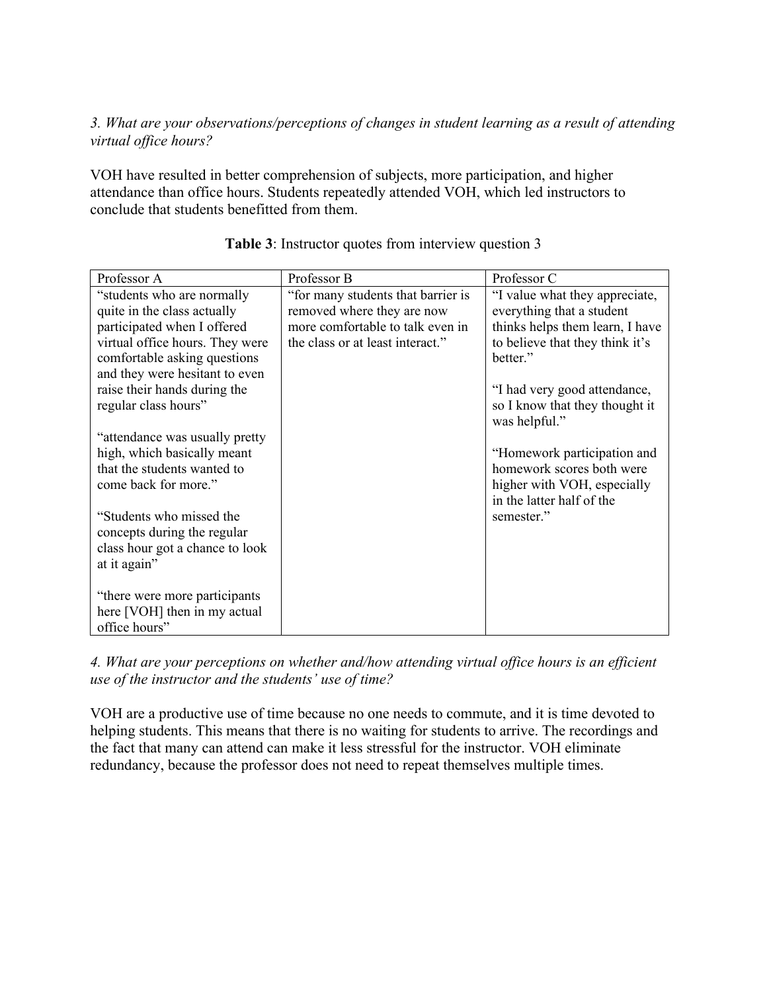## *3. What are your observations/perceptions of changes in student learning as a result of attending virtual office hours?*

VOH have resulted in better comprehension of subjects, more participation, and higher attendance than office hours. Students repeatedly attended VOH, which led instructors to conclude that students benefitted from them.

| Professor A                                                                                                                                                                                                                   | Professor B                                                                                                                              | Professor C                                                                                                                                                                   |
|-------------------------------------------------------------------------------------------------------------------------------------------------------------------------------------------------------------------------------|------------------------------------------------------------------------------------------------------------------------------------------|-------------------------------------------------------------------------------------------------------------------------------------------------------------------------------|
| "students who are normally<br>quite in the class actually<br>participated when I offered<br>virtual office hours. They were<br>comfortable asking questions<br>and they were hesitant to even<br>raise their hands during the | "for many students that barrier is<br>removed where they are now<br>more comfortable to talk even in<br>the class or at least interact." | "I value what they appreciate,<br>everything that a student<br>thinks helps them learn, I have<br>to believe that they think it's<br>better."<br>"I had very good attendance, |
| regular class hours"                                                                                                                                                                                                          |                                                                                                                                          | so I know that they thought it<br>was helpful."                                                                                                                               |
| "attendance was usually pretty<br>high, which basically meant                                                                                                                                                                 |                                                                                                                                          | "Homework participation and                                                                                                                                                   |
| that the students wanted to<br>come back for more."                                                                                                                                                                           |                                                                                                                                          | homework scores both were<br>higher with VOH, especially<br>in the latter half of the                                                                                         |
| "Students who missed the<br>concepts during the regular<br>class hour got a chance to look                                                                                                                                    |                                                                                                                                          | semester."                                                                                                                                                                    |
| at it again"                                                                                                                                                                                                                  |                                                                                                                                          |                                                                                                                                                                               |
| "there were more participants"<br>here [VOH] then in my actual<br>office hours"                                                                                                                                               |                                                                                                                                          |                                                                                                                                                                               |

**Table 3**: Instructor quotes from interview question 3

*4. What are your perceptions on whether and/how attending virtual office hours is an efficient use of the instructor and the students' use of time?*

VOH are a productive use of time because no one needs to commute, and it is time devoted to helping students. This means that there is no waiting for students to arrive. The recordings and the fact that many can attend can make it less stressful for the instructor. VOH eliminate redundancy, because the professor does not need to repeat themselves multiple times.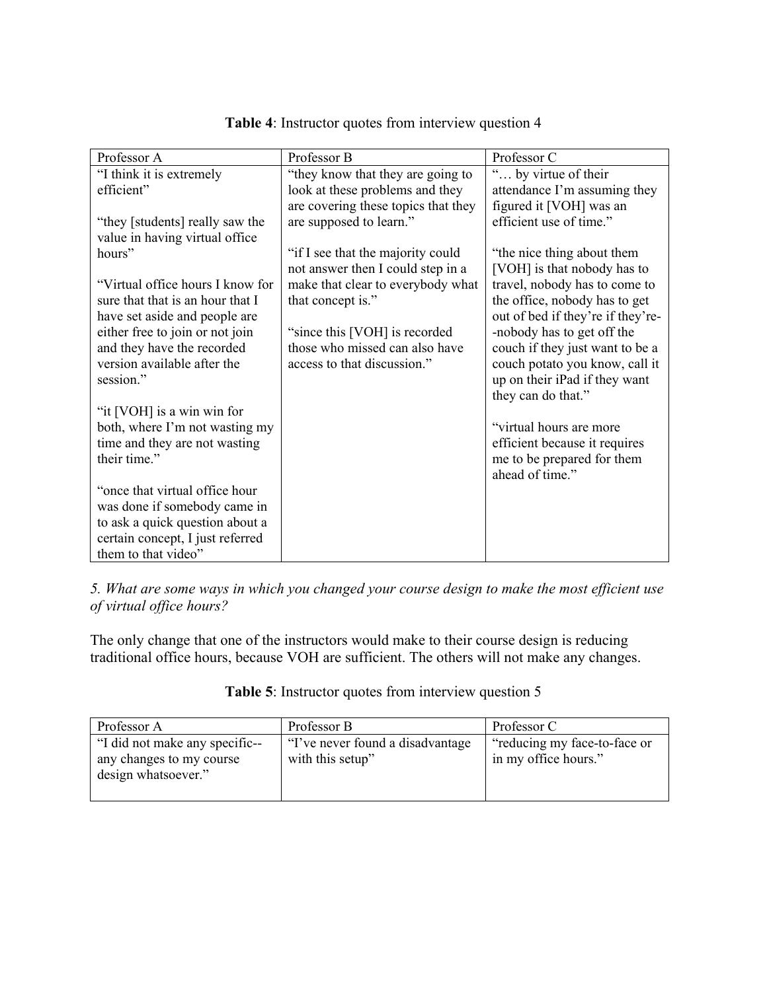| Professor A                                             | Professor B                         | Professor C                                   |
|---------------------------------------------------------|-------------------------------------|-----------------------------------------------|
| "I think it is extremely                                | "they know that they are going to   | " by virtue of their                          |
| efficient"                                              | look at these problems and they     | attendance I'm assuming they                  |
|                                                         | are covering these topics that they | figured it [VOH] was an                       |
| "they [students] really saw the                         | are supposed to learn."             | efficient use of time."                       |
| value in having virtual office                          |                                     |                                               |
| hours"                                                  | "if I see that the majority could   | "the nice thing about them                    |
|                                                         | not answer then I could step in a   | [VOH] is that nobody has to                   |
| "Virtual office hours I know for                        | make that clear to everybody what   | travel, nobody has to come to                 |
| sure that that is an hour that I                        | that concept is."                   | the office, nobody has to get                 |
| have set aside and people are                           |                                     | out of bed if they're if they're-             |
| either free to join or not join                         | "since this [VOH] is recorded       | -nobody has to get off the                    |
| and they have the recorded                              | those who missed can also have      | couch if they just want to be a               |
| version available after the                             | access to that discussion."         | couch potato you know, call it                |
| session."                                               |                                     | up on their iPad if they want                 |
|                                                         |                                     | they can do that."                            |
| "it [VOH] is a win win for                              |                                     |                                               |
| both, where I'm not wasting my                          |                                     | "virtual hours are more"                      |
| time and they are not wasting                           |                                     | efficient because it requires                 |
| their time."                                            |                                     | me to be prepared for them<br>ahead of time." |
| "once that virtual office hour                          |                                     |                                               |
|                                                         |                                     |                                               |
| was done if somebody came in                            |                                     |                                               |
| to ask a quick question about a                         |                                     |                                               |
| certain concept, I just referred<br>them to that video" |                                     |                                               |
|                                                         |                                     |                                               |

**Table 4**: Instructor quotes from interview question 4

*5. What are some ways in which you changed your course design to make the most efficient use of virtual office hours?*

The only change that one of the instructors would make to their course design is reducing traditional office hours, because VOH are sufficient. The others will not make any changes.

| Professor A                    | Professor B                       | Professor C                  |
|--------------------------------|-----------------------------------|------------------------------|
| "I did not make any specific-- | "I've never found a disadvantage" | "reducing my face-to-face or |
| any changes to my course       | with this setup"                  | in my office hours."         |
| design whatsoever."            |                                   |                              |
|                                |                                   |                              |

## **Table 5**: Instructor quotes from interview question 5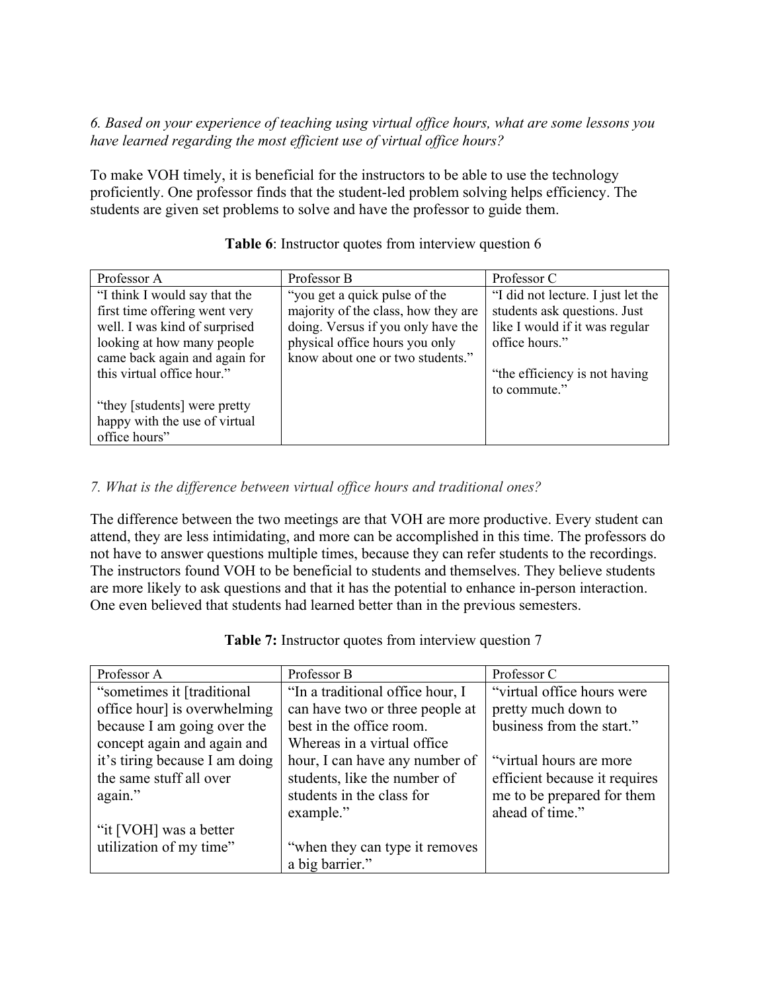## *6. Based on your experience of teaching using virtual office hours, what are some lessons you have learned regarding the most efficient use of virtual office hours?*

To make VOH timely, it is beneficial for the instructors to be able to use the technology proficiently. One professor finds that the student-led problem solving helps efficiency. The students are given set problems to solve and have the professor to guide them.

| Professor A                   | Professor B                         | Professor C                        |
|-------------------------------|-------------------------------------|------------------------------------|
| "I think I would say that the | "you get a quick pulse of the       | "I did not lecture. I just let the |
| first time offering went very | majority of the class, how they are | students ask questions. Just       |
| well. I was kind of surprised | doing. Versus if you only have the  | like I would if it was regular     |
| looking at how many people    | physical office hours you only      | office hours."                     |
| came back again and again for | know about one or two students."    |                                    |
| this virtual office hour."    |                                     | "the efficiency is not having"     |
|                               |                                     | to commute."                       |
| "they [students] were pretty" |                                     |                                    |
| happy with the use of virtual |                                     |                                    |
| office hours"                 |                                     |                                    |

## **Table 6**: Instructor quotes from interview question 6

# *7. What is the difference between virtual office hours and traditional ones?*

The difference between the two meetings are that VOH are more productive. Every student can attend, they are less intimidating, and more can be accomplished in this time. The professors do not have to answer questions multiple times, because they can refer students to the recordings. The instructors found VOH to be beneficial to students and themselves. They believe students are more likely to ask questions and that it has the potential to enhance in-person interaction. One even believed that students had learned better than in the previous semesters.

| Professor A                    | Professor B                      | Professor C                   |
|--------------------------------|----------------------------------|-------------------------------|
| "sometimes it [traditional]    | "In a traditional office hour, I | "virtual office hours were"   |
| office hour] is overwhelming   | can have two or three people at  | pretty much down to           |
| because I am going over the    | best in the office room.         | business from the start."     |
| concept again and again and    | Whereas in a virtual office      |                               |
| it's tiring because I am doing | hour, I can have any number of   | "virtual hours are more"      |
| the same stuff all over        | students, like the number of     | efficient because it requires |
| again."                        | students in the class for        | me to be prepared for them    |
|                                | example."                        | ahead of time."               |
| "it [VOH] was a better         |                                  |                               |
| utilization of my time"        | "when they can type it removes"  |                               |
|                                | a big barrier."                  |                               |

**Table 7:** Instructor quotes from interview question 7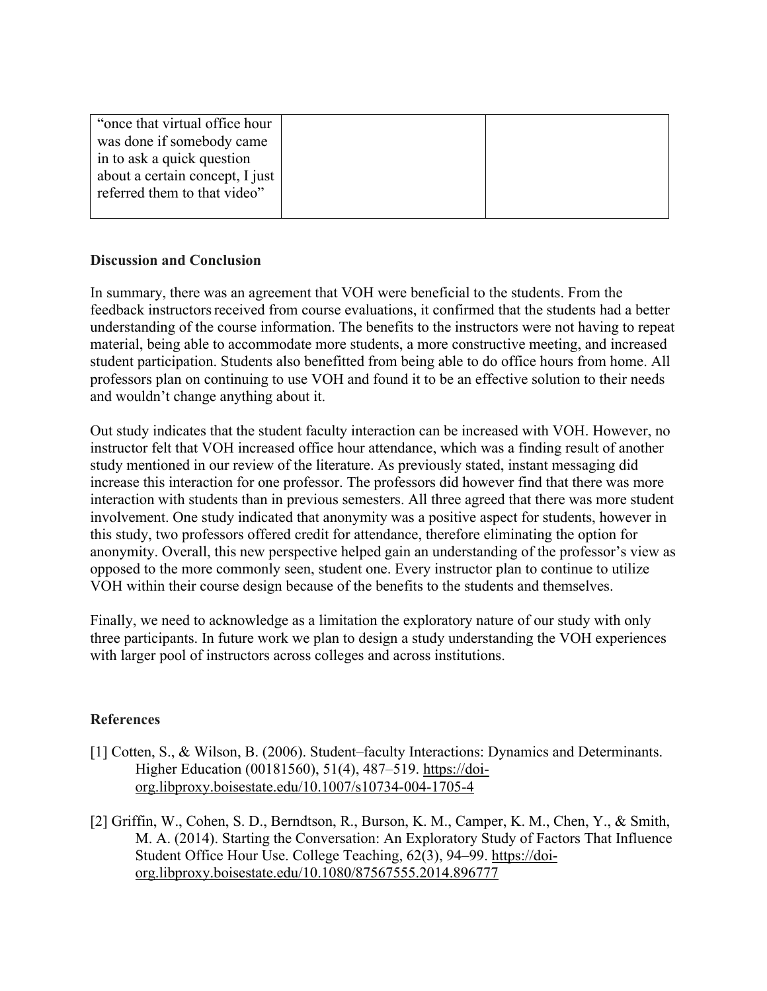| "once that virtual office hour" |  |
|---------------------------------|--|
| was done if somebody came       |  |
| in to ask a quick question      |  |
| about a certain concept, I just |  |
| referred them to that video"    |  |
|                                 |  |

## **Discussion and Conclusion**

In summary, there was an agreement that VOH were beneficial to the students. From the feedback instructors received from course evaluations, it confirmed that the students had a better understanding of the course information. The benefits to the instructors were not having to repeat material, being able to accommodate more students, a more constructive meeting, and increased student participation. Students also benefitted from being able to do office hours from home. All professors plan on continuing to use VOH and found it to be an effective solution to their needs and wouldn't change anything about it.

Out study indicates that the student faculty interaction can be increased with VOH. However, no instructor felt that VOH increased office hour attendance, which was a finding result of another study mentioned in our review of the literature. As previously stated, instant messaging did increase this interaction for one professor. The professors did however find that there was more interaction with students than in previous semesters. All three agreed that there was more student involvement. One study indicated that anonymity was a positive aspect for students, however in this study, two professors offered credit for attendance, therefore eliminating the option for anonymity. Overall, this new perspective helped gain an understanding of the professor's view as opposed to the more commonly seen, student one. Every instructor plan to continue to utilize VOH within their course design because of the benefits to the students and themselves.

Finally, we need to acknowledge as a limitation the exploratory nature of our study with only three participants. In future work we plan to design a study understanding the VOH experiences with larger pool of instructors across colleges and across institutions.

## **References**

- [1] Cotten, S., & Wilson, B. (2006). Student–faculty Interactions: Dynamics and Determinants. Higher Education (00181560), 51(4), 487–519. [https://doi](https://doi-org.libproxy.boisestate.edu/10.1007/s10734-004-1705-4)[org.libproxy.boisestate.edu/10.1007/s10734-004-1705-4](https://doi-org.libproxy.boisestate.edu/10.1007/s10734-004-1705-4)
- [2] Griffin, W., Cohen, S. D., Berndtson, R., Burson, K. M., Camper, K. M., Chen, Y., & Smith, M. A. (2014). Starting the Conversation: An Exploratory Study of Factors That Influence Student Office Hour Use. College Teaching, 62(3), 94–99. [https://doi](https://doi-org.libproxy.boisestate.edu/10.1080/87567555.2014.896777)[org.libproxy.boisestate.edu/10.1080/87567555.2014.896777](https://doi-org.libproxy.boisestate.edu/10.1080/87567555.2014.896777)